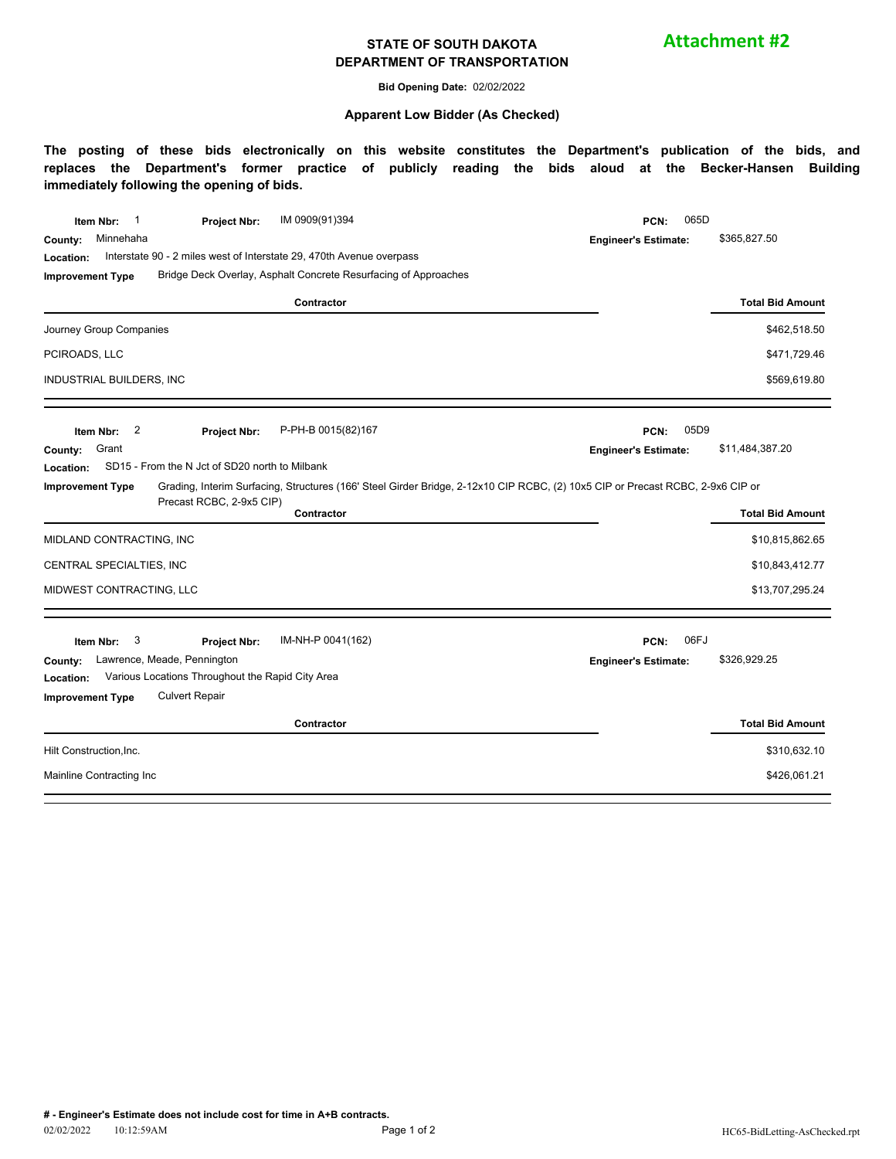#### **STATE OF SOUTH DAKOTA DEPARTMENT OF TRANSPORTATION**

**Attachment #2**

**Bid Opening Date:** 02/02/2022

#### **Apparent Low Bidder (As Checked)**

**The posting of these bids electronically on this website constitutes the Department's publication of the bids, and replaces the Department's former practice of publicly reading the bids aloud at the Becker-Hansen Building immediately following the opening of bids.**

| IM 0909(91)394<br>Item Nbr:<br><b>Project Nbr:</b>                                                                                                        | 065D<br>PCN:                |                         |  |  |
|-----------------------------------------------------------------------------------------------------------------------------------------------------------|-----------------------------|-------------------------|--|--|
| Minnehaha<br>County:                                                                                                                                      | <b>Engineer's Estimate:</b> | \$365,827.50            |  |  |
| Interstate 90 - 2 miles west of Interstate 29, 470th Avenue overpass<br>Location:                                                                         |                             |                         |  |  |
| Bridge Deck Overlay, Asphalt Concrete Resurfacing of Approaches<br><b>Improvement Type</b>                                                                |                             |                         |  |  |
| Contractor                                                                                                                                                |                             | <b>Total Bid Amount</b> |  |  |
| Journey Group Companies                                                                                                                                   |                             | \$462,518.50            |  |  |
| PCIROADS, LLC                                                                                                                                             |                             | \$471,729.46            |  |  |
| INDUSTRIAL BUILDERS, INC                                                                                                                                  |                             | \$569,619.80            |  |  |
| 2<br>P-PH-B 0015(82)167<br>Item Nbr:<br>Project Nbr:                                                                                                      | 05D9<br>PCN:                |                         |  |  |
| Grant<br>County:                                                                                                                                          | <b>Engineer's Estimate:</b> | \$11,484,387.20         |  |  |
| SD15 - From the N Jct of SD20 north to Milbank<br>Location:                                                                                               |                             |                         |  |  |
| Grading, Interim Surfacing, Structures (166' Steel Girder Bridge, 2-12x10 CIP RCBC, (2) 10x5 CIP or Precast RCBC, 2-9x6 CIP or<br><b>Improvement Type</b> |                             |                         |  |  |
|                                                                                                                                                           |                             |                         |  |  |
| Precast RCBC, 2-9x5 CIP)<br>Contractor                                                                                                                    |                             | <b>Total Bid Amount</b> |  |  |
| MIDLAND CONTRACTING, INC                                                                                                                                  |                             | \$10,815,862.65         |  |  |
| CENTRAL SPECIALTIES, INC                                                                                                                                  |                             | \$10,843,412.77         |  |  |
| MIDWEST CONTRACTING, LLC                                                                                                                                  |                             | \$13,707,295.24         |  |  |
| IM-NH-P 0041(162)<br>3<br>Item Nbr:<br><b>Project Nbr:</b>                                                                                                | 06FJ<br>PCN:                |                         |  |  |
| Lawrence, Meade, Pennington<br>County:                                                                                                                    | <b>Engineer's Estimate:</b> | \$326,929.25            |  |  |
| Various Locations Throughout the Rapid City Area<br>Location:                                                                                             |                             |                         |  |  |
| <b>Culvert Repair</b><br><b>Improvement Type</b>                                                                                                          |                             |                         |  |  |
| Contractor                                                                                                                                                |                             | <b>Total Bid Amount</b> |  |  |
| Hilt Construction, Inc.                                                                                                                                   |                             | \$310,632.10            |  |  |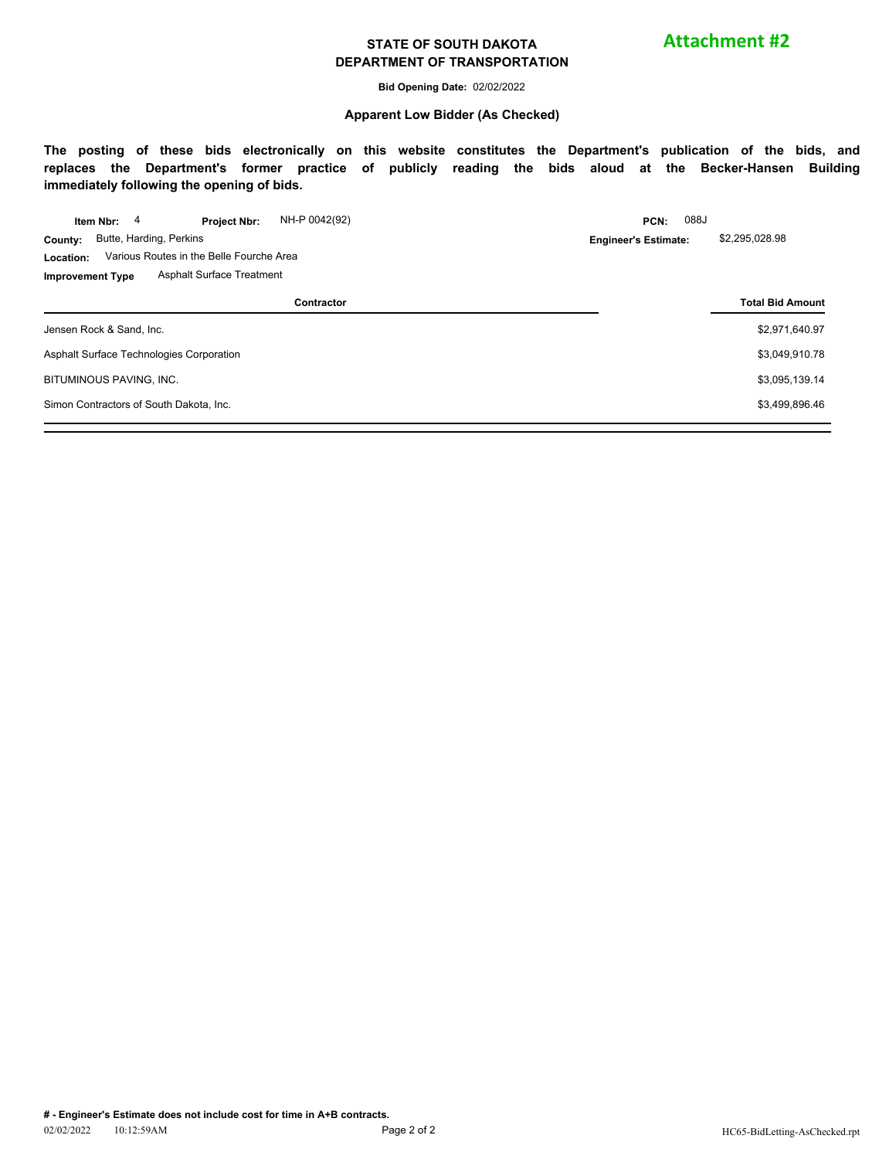#### **STATE OF SOUTH DAKOTA DEPARTMENT OF TRANSPORTATION**

**Bid Opening Date:** 02/02/2022

#### **Apparent Low Bidder (As Checked)**

**The posting of these bids electronically on this website constitutes the Department's publication of the bids, and replaces the Department's former practice of publicly reading the bids aloud at the Becker-Hansen Building immediately following the opening of bids.**

|                                         | Item Nbr:                                | 4 | <b>Project Nbr:</b>                      | NH-P 0042(92) |  | PCN:                        | 088J                    |  |
|-----------------------------------------|------------------------------------------|---|------------------------------------------|---------------|--|-----------------------------|-------------------------|--|
| County:                                 |                                          |   | Butte, Harding, Perkins                  |               |  | <b>Engineer's Estimate:</b> | \$2,295,028.98          |  |
| Location:                               | Various Routes in the Belle Fourche Area |   |                                          |               |  |                             |                         |  |
| <b>Improvement Type</b>                 |                                          |   | <b>Asphalt Surface Treatment</b>         |               |  |                             |                         |  |
|                                         |                                          |   |                                          | Contractor    |  |                             | <b>Total Bid Amount</b> |  |
| Jensen Rock & Sand, Inc.                |                                          |   |                                          |               |  |                             | \$2,971,640.97          |  |
|                                         |                                          |   | Asphalt Surface Technologies Corporation |               |  |                             | \$3,049,910.78          |  |
| BITUMINOUS PAVING, INC.                 |                                          |   |                                          |               |  |                             | \$3,095,139.14          |  |
| Simon Contractors of South Dakota, Inc. |                                          |   |                                          |               |  |                             | \$3,499,896.46          |  |